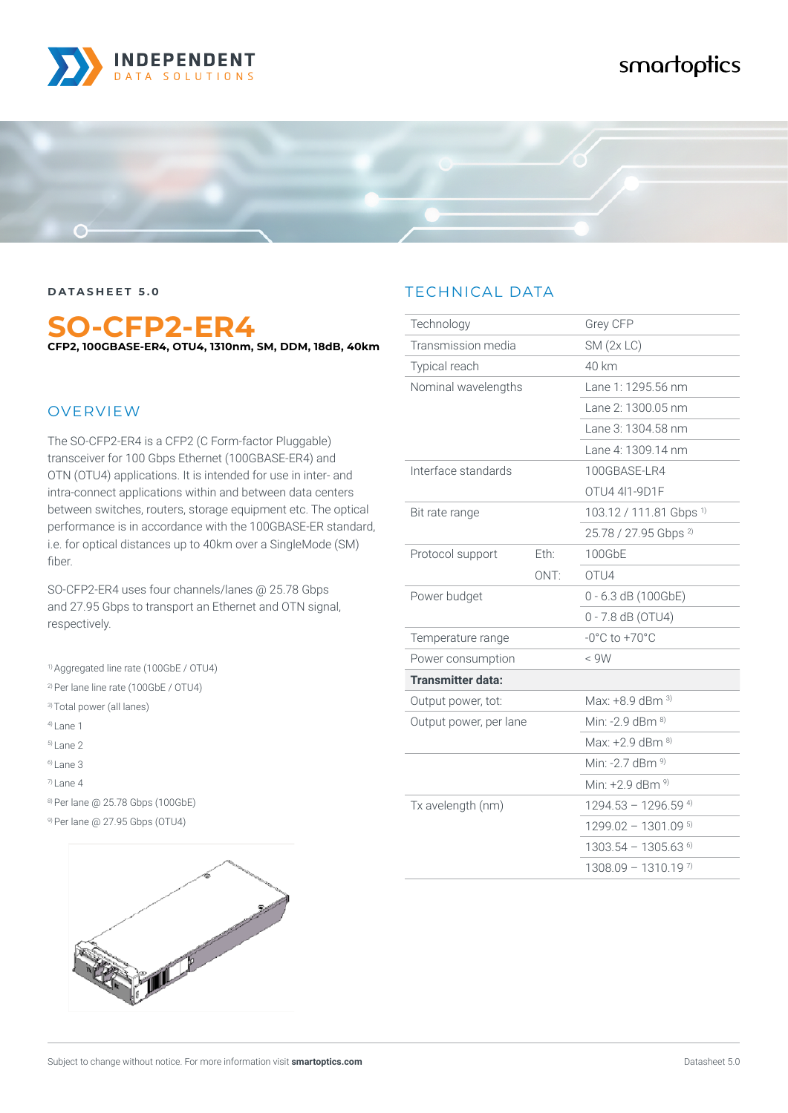

# smartoptics



**DATASHEET 5.0**

## **SO-CFP2-ER4 CFP2, 100GBASE-ER4, OTU4, 1310nm, SM, DDM, 18dB, 40km**

#### **OVERVIEW**

The SO-CFP2-ER4 is a CFP2 (C Form-factor Pluggable) transceiver for 100 Gbps Ethernet (100GBASE-ER4) and OTN (OTU4) applications. It is intended for use in inter- and intra-connect applications within and between data centers between switches, routers, storage equipment etc. The optical performance is in accordance with the 100GBASE-ER standard, i.e. for optical distances up to 40km over a SingleMode (SM) fiber.

SO-CFP2-ER4 uses four channels/lanes @ 25.78 Gbps and 27.95 Gbps to transport an Ethernet and OTN signal, respectively.

1) Aggregated line rate (100GbE / OTU4)

2) Per lane line rate (100GbE / OTU4)

3) Total power (all lanes)

4) Lane 1

- 5) Lane 2
- 6) Lane 3
- 7) Lane 4

8) Per lane @ 25.78 Gbps (100GbE)

9) Per lane @ 27.95 Gbps (OTU4)



### TECHNICAL DATA

| Technology               |                  | Grey CFP                           |
|--------------------------|------------------|------------------------------------|
| Transmission media       |                  | SM(2x LC)                          |
| Typical reach            |                  | 40 km                              |
| Nominal wavelengths      |                  | Lane 1: 1295.56 nm                 |
|                          |                  | Lane 2: 1300.05 nm                 |
|                          |                  | Lane 3: 1304.58 nm                 |
|                          |                  | Lane 4: 1309.14 nm                 |
| Interface standards      |                  | 100GBASE-LR4                       |
|                          |                  | OTU4 411-9D1F                      |
| Bit rate range           |                  | 103.12 / 111.81 Gbps <sup>1)</sup> |
|                          |                  | 25.78 / 27.95 Gbps <sup>2)</sup>   |
| Protocol support         | Eth:             | 100GbE                             |
|                          | ONT <sup>.</sup> | OTIJ4                              |
| Power budget             |                  | $0 - 6.3$ dB (100GbE)              |
|                          |                  | 0 - 7.8 dB (OTU4)                  |
| Temperature range        |                  | $-0^{\circ}$ C to $+70^{\circ}$ C  |
| Power consumption        |                  | < 9W                               |
| <b>Transmitter data:</b> |                  |                                    |
| Output power, tot:       |                  | Max: $+8.9$ dBm $^{3)}$            |
| Output power, per lane   |                  | Min: -2.9 dBm $^{8)}$              |
|                          |                  | Max: +2.9 dBm 8)                   |
|                          |                  | Min: -2.7 dBm $9$                  |
|                          |                  | Min: +2.9 dBm 9)                   |
| Tx avelength (nm)        |                  | $1294.53 - 1296.59$ <sup>4)</sup>  |
|                          |                  | $1299.02 - 1301.09$ <sup>5)</sup>  |
|                          |                  | $1303.54 - 1305.63$ <sup>6)</sup>  |
|                          |                  | $1308.09 - 1310.19$ <sup>7)</sup>  |
|                          |                  |                                    |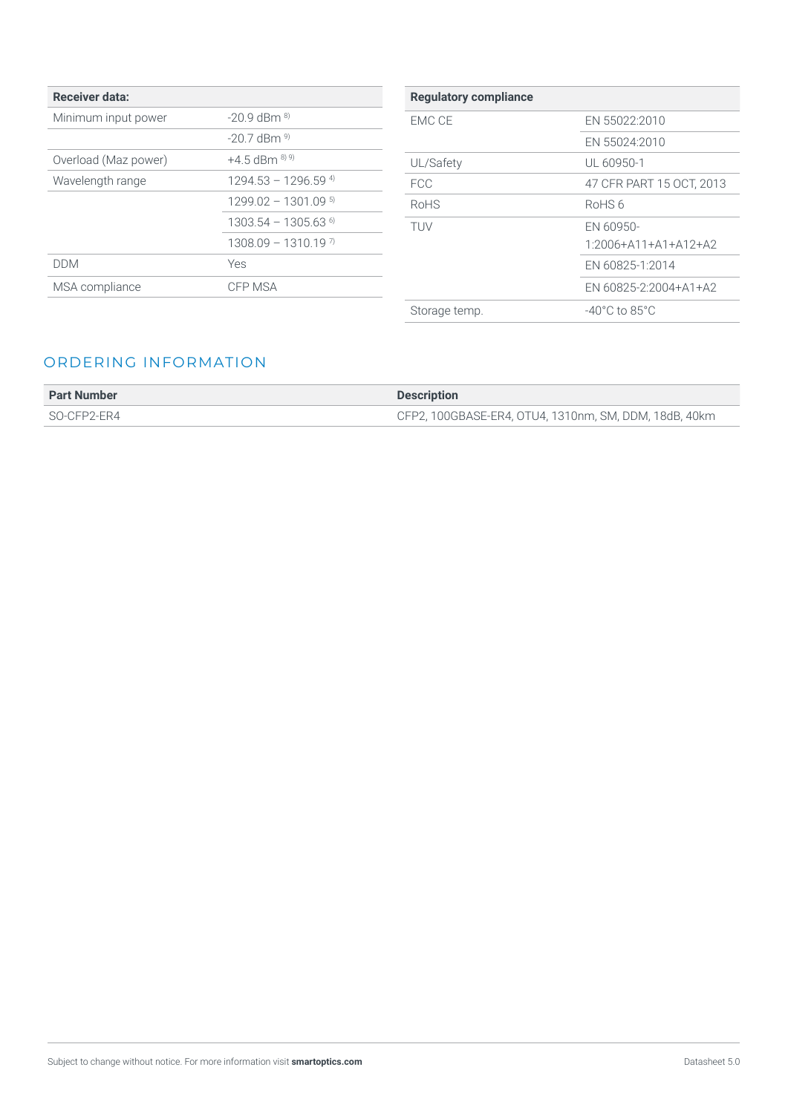| <b>Receiver data:</b> |                                   |
|-----------------------|-----------------------------------|
| Minimum input power   | $-209$ dBm $^{8)}$                |
|                       | $-20.7$ dBm $^{9}$                |
| Overload (Maz power)  | $+4.5$ dBm $^{8)}$ <sup>9)</sup>  |
| Wavelength range      | $1294.53 - 1296.59$ <sup>4)</sup> |
|                       | $1299.02 - 1301.09$ <sup>5)</sup> |
|                       | $1303.54 - 1305.63$ <sup>6)</sup> |
|                       | $1308.09 - 1310.19$ <sup>7)</sup> |
| DDM                   | Yes                               |
| MSA compliance        | CFP MSA                           |
|                       |                                   |

| <b>Regulatory compliance</b> |                                    |
|------------------------------|------------------------------------|
| FMC CF                       | EN 55022:2010                      |
|                              | EN 55024:2010                      |
| UL/Safety                    | UL 60950-1                         |
| <b>FCC</b>                   | 47 CFR PART 15 OCT, 2013           |
| RoHS                         | RoHS6                              |
| <b>TIJV</b>                  | EN 60950-                          |
|                              | $1.2006 + A11 + A1 + A12 + A2$     |
|                              | EN 60825-1:2014                    |
|                              | EN 60825-2:2004+A1+A2              |
| Storage temp.                | $-40^{\circ}$ C to 85 $^{\circ}$ C |

#### ORDERING INFORMATION

| <b>Part Number</b> | <b>Description</b>                                    |
|--------------------|-------------------------------------------------------|
| SO-CFP2-ER4        | CFP2, 100GBASE-ER4, OTU4, 1310nm, SM, DDM, 18dB, 40km |